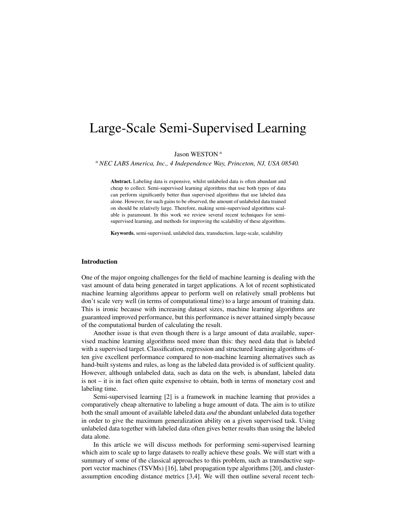# Large-Scale Semi-Supervised Learning

Jason WESTON<sup>a</sup>

<sup>a</sup> *NEC LABS America, Inc., 4 Independence Way, Princeton, NJ, USA 08540.*

Abstract. Labeling data is expensive, whilst unlabeled data is often abundant and cheap to collect. Semi-supervised learning algorithms that use both types of data can perform significantly better than supervised algorithms that use labeled data alone. However, for such gains to be observed, the amount of unlabeled data trained on should be relatively large. Therefore, making semi-supervised algorithms scalable is paramount. In this work we review several recent techniques for semisupervised learning, and methods for improving the scalability of these algorithms.

Keywords. semi-supervised, unlabeled data, transduction, large-scale, scalability

#### Introduction

One of the major ongoing challenges for the field of machine learning is dealing with the vast amount of data being generated in target applications. A lot of recent sophisticated machine learning algorithms appear to perform well on relatively small problems but don't scale very well (in terms of computational time) to a large amount of training data. This is ironic because with increasing dataset sizes, machine learning algorithms are guaranteed improved performance, but this performance is never attained simply because of the computational burden of calculating the result.

Another issue is that even though there is a large amount of data available, supervised machine learning algorithms need more than this: they need data that is labeled with a supervised target. Classification, regression and structured learning algorithms often give excellent performance compared to non-machine learning alternatives such as hand-built systems and rules, as long as the labeled data provided is of sufficient quality. However, although unlabeled data, such as data on the web, is abundant, labeled data is not – it is in fact often quite expensive to obtain, both in terms of monetary cost and labeling time.

Semi-supervised learning [2] is a framework in machine learning that provides a comparatively cheap alternative to labeling a huge amount of data. The aim is to utilize both the small amount of available labeled data *and* the abundant unlabeled data together in order to give the maximum generalization ability on a given supervised task. Using unlabeled data together with labeled data often gives better results than using the labeled data alone.

In this article we will discuss methods for performing semi-supervised learning which aim to scale up to large datasets to really achieve these goals. We will start with a summary of some of the classical approaches to this problem, such as transductive support vector machines (TSVMs) [16], label propagation type algorithms [20], and clusterassumption encoding distance metrics [3,4]. We will then outline several recent tech-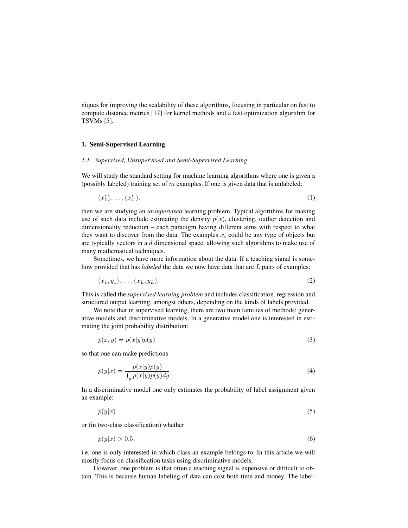niques for improving the scalability of these algorithms, focusing in particular on fast to compute distance metrics [17] for kernel methods and a fast optimization algorithm for TSVMs [5].

## 1. Semi-Supervised Learning

#### *1.1. Supervised, Unsupervised and Semi-Supervised Learning*

We will study the standard setting for machine learning algorithms where one is given a (possibly labeled) training set of  $m$  examples. If one is given data that is unlabeled:

$$
(x_1^*), \ldots, (x_U^*), \tag{1}
$$

then we are studying an *unsupervised* learning problem. Typical algorithms for making use of such data include estimating the density  $p(x)$ , clustering, outlier detection and dimensionality reduction – each paradigm having different aims with respect to what they want to discover from the data. The examples  $x_i$  could be any type of objects but are typically vectors in a  $d$  dimensional space, allowing such algorithms to make use of many mathematical techniques.

Sometimes, we have more information about the data. If a teaching signal is somehow provided that has *labeled* the data we now have data that are L pairs of examples:

$$
(x_1, y_1), \ldots, (x_L, y_L). \tag{2}
$$

This is called the *supervised learning problem* and includes classification, regression and structured output learning, amongst others, depending on the kinds of labels provided.

We note that in supervised learning, there are two main families of methods: generative models and discriminative models. In a generative model one is interested in estimating the joint probability distribution:

$$
p(x, y) = p(x|y)p(y)
$$
\n(3)

so that one can make predictions

$$
p(y|x) = \frac{p(x|y)p(y)}{\int_y p(x|y)p(y)dy}.\tag{4}
$$

In a discriminative model one only estimates the probability of label assignment given an example:

$$
p(y|x) \tag{5}
$$

or (in two-class classification) whether

$$
p(y|x) > 0.5,\tag{6}
$$

i.e. one is only interested in which class an example belongs to. In this article we will mostly focus on classification tasks using discriminative models.

However, one problem is that often a teaching signal is expensive or difficult to obtain. This is because human labeling of data can cost both time and money. The label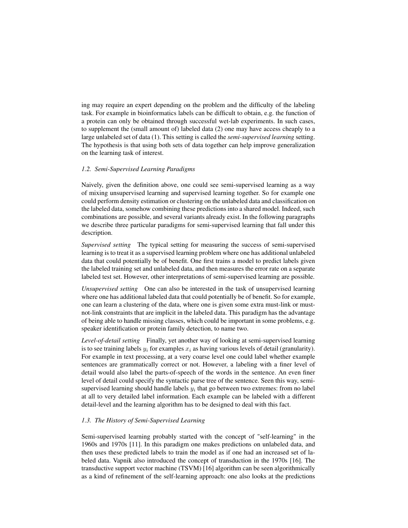ing may require an expert depending on the problem and the difficulty of the labeling task. For example in bioinformatics labels can be difficult to obtain, e.g. the function of a protein can only be obtained through successful wet-lab experiments. In such cases, to supplement the (small amount of) labeled data (2) one may have access cheaply to a large unlabeled set of data (1). This setting is called the *semi-supervised learning* setting. The hypothesis is that using both sets of data together can help improve generalization on the learning task of interest.

## *1.2. Semi-Supervised Learning Paradigms*

Naively, given the definition above, one could see semi-supervised learning as a way of mixing unsupervised learning and supervised learning together. So for example one could perform density estimation or clustering on the unlabeled data and classification on the labeled data, somehow combining these predictions into a shared model. Indeed, such combinations are possible, and several variants already exist. In the following paragraphs we describe three particular paradigms for semi-supervised learning that fall under this description.

*Supervised setting* The typical setting for measuring the success of semi-supervised learning is to treat it as a supervised learning problem where one has additional unlabeled data that could potentially be of benefit. One first trains a model to predict labels given the labeled training set and unlabeled data, and then measures the error rate on a separate labeled test set. However, other interpretations of semi-supervised learning are possible.

*Unsupervised setting* One can also be interested in the task of unsupervised learning where one has additional labeled data that could potentially be of benefit. So for example, one can learn a clustering of the data, where one is given some extra must-link or mustnot-link constraints that are implicit in the labeled data. This paradigm has the advantage of being able to handle missing classes, which could be important in some problems, e.g. speaker identification or protein family detection, to name two.

*Level-of-detail setting* Finally, yet another way of looking at semi-supervised learning is to see training labels  $y_i$  for examples  $x_i$  as having various levels of detail (granularity). For example in text processing, at a very coarse level one could label whether example sentences are grammatically correct or not. However, a labeling with a finer level of detail would also label the parts-of-speech of the words in the sentence. An even finer level of detail could specify the syntactic parse tree of the sentence. Seen this way, semisupervised learning should handle labels  $y_i$  that go between two extremes: from no label at all to very detailed label information. Each example can be labeled with a different detail-level and the learning algorithm has to be designed to deal with this fact.

#### *1.3. The History of Semi-Supervised Learning*

Semi-supervised learning probably started with the concept of "self-learning" in the 1960s and 1970s [11]. In this paradigm one makes predictions on unlabeled data, and then uses these predicted labels to train the model as if one had an increased set of labeled data. Vapnik also introduced the concept of transduction in the 1970s [16]. The transductive support vector machine (TSVM) [16] algorithm can be seen algorithmically as a kind of refinement of the self-learning approach: one also looks at the predictions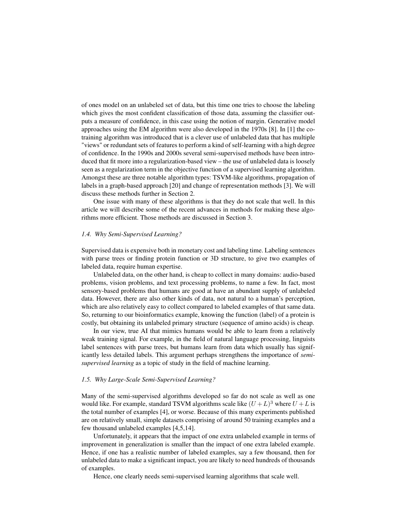of ones model on an unlabeled set of data, but this time one tries to choose the labeling which gives the most confident classification of those data, assuming the classifier outputs a measure of confidence, in this case using the notion of margin. Generative model approaches using the EM algorithm were also developed in the 1970s [8]. In [1] the cotraining algorithm was introduced that is a clever use of unlabeled data that has multiple "views" or redundant sets of features to perform a kind of self-learning with a high degree of confidence. In the 1990s and 2000s several semi-supervised methods have been introduced that fit more into a regularization-based view – the use of unlabeled data is loosely seen as a regularization term in the objective function of a supervised learning algorithm. Amongst these are three notable algorithm types: TSVM-like algorithms, propagation of labels in a graph-based approach [20] and change of representation methods [3]. We will discuss these methods further in Section 2.

One issue with many of these algorithms is that they do not scale that well. In this article we will describe some of the recent advances in methods for making these algorithms more efficient. Those methods are discussed in Section 3.

## *1.4. Why Semi-Supervised Learning?*

Supervised data is expensive both in monetary cost and labeling time. Labeling sentences with parse trees or finding protein function or 3D structure, to give two examples of labeled data, require human expertise.

Unlabeled data, on the other hand, is cheap to collect in many domains: audio-based problems, vision problems, and text processing problems, to name a few. In fact, most sensory-based problems that humans are good at have an abundant supply of unlabeled data. However, there are also other kinds of data, not natural to a human's perception, which are also relatively easy to collect compared to labeled examples of that same data. So, returning to our bioinformatics example, knowing the function (label) of a protein is costly, but obtaining its unlabeled primary structure (sequence of amino acids) is cheap.

In our view, true AI that mimics humans would be able to learn from a relatively weak training signal. For example, in the field of natural language processing, linguists label sentences with parse trees, but humans learn from data which usually has significantly less detailed labels. This argument perhaps strengthens the importance of *semisupervised learning* as a topic of study in the field of machine learning.

#### *1.5. Why Large-Scale Semi-Supervised Learning?*

Many of the semi-supervised algorithms developed so far do not scale as well as one would like. For example, standard TSVM algorithms scale like  $(U+L)^3$  where  $U+L$  is the total number of examples [4], or worse. Because of this many experiments published are on relatively small, simple datasets comprising of around 50 training examples and a few thousand unlabeled examples [4,5,14].

Unfortunately, it appears that the impact of one extra unlabeled example in terms of improvement in generalization is smaller than the impact of one extra labeled example. Hence, if one has a realistic number of labeled examples, say a few thousand, then for unlabeled data to make a significant impact, you are likely to need hundreds of thousands of examples.

Hence, one clearly needs semi-supervised learning algorithms that scale well.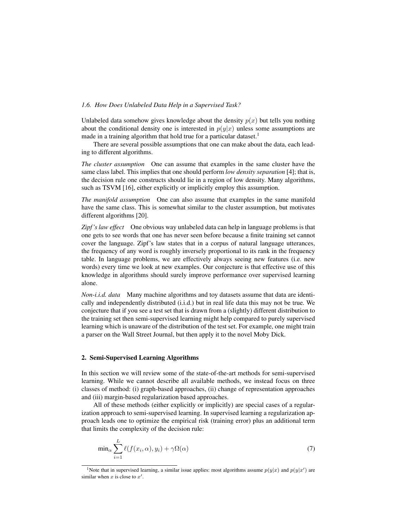### *1.6. How Does Unlabeled Data Help in a Supervised Task?*

Unlabeled data somehow gives knowledge about the density  $p(x)$  but tells you nothing about the conditional density one is interested in  $p(y|x)$  unless some assumptions are made in a training algorithm that hold true for a particular dataset.<sup>1</sup>

There are several possible assumptions that one can make about the data, each leading to different algorithms.

*The cluster assumption* One can assume that examples in the same cluster have the same class label. This implies that one should perform *low density separation* [4]; that is, the decision rule one constructs should lie in a region of low density. Many algorithms, such as TSVM [16], either explicitly or implicitly employ this assumption.

*The manifold assumption* One can also assume that examples in the same manifold have the same class. This is somewhat similar to the cluster assumption, but motivates different algorithms [20].

*Zipf 's law effect* One obvious way unlabeled data can help in language problems is that one gets to see words that one has never seen before because a finite training set cannot cover the language. Zipf's law states that in a corpus of natural language utterances, the frequency of any word is roughly inversely proportional to its rank in the frequency table. In language problems, we are effectively always seeing new features (i.e. new words) every time we look at new examples. Our conjecture is that effective use of this knowledge in algorithms should surely improve performance over supervised learning alone.

*Non-i.i.d. data* Many machine algorithms and toy datasets assume that data are identically and independently distributed (i.i.d.) but in real life data this may not be true. We conjecture that if you see a test set that is drawn from a (slightly) different distribution to the training set then semi-supervised learning might help compared to purely supervised learning which is unaware of the distribution of the test set. For example, one might train a parser on the Wall Street Journal, but then apply it to the novel Moby Dick.

#### 2. Semi-Supervised Learning Algorithms

In this section we will review some of the state-of-the-art methods for semi-supervised learning. While we cannot describe all available methods, we instead focus on three classes of method: (i) graph-based approaches, (ii) change of representation approaches and (iii) margin-based regularization based approaches.

All of these methods (either explicitly or implicitly) are special cases of a regularization approach to semi-supervised learning. In supervised learning a regularization approach leads one to optimize the empirical risk (training error) plus an additional term that limits the complexity of the decision rule:

$$
\min_{\alpha} \sum_{i=1}^{L} \ell(f(x_i, \alpha), y_i) + \gamma \Omega(\alpha) \tag{7}
$$

<sup>&</sup>lt;sup>1</sup>Note that in supervised learning, a similar issue applies: most algorithms assume  $p(y|x)$  and  $p(y|x')$  are similar when  $x$  is close to  $x'$ .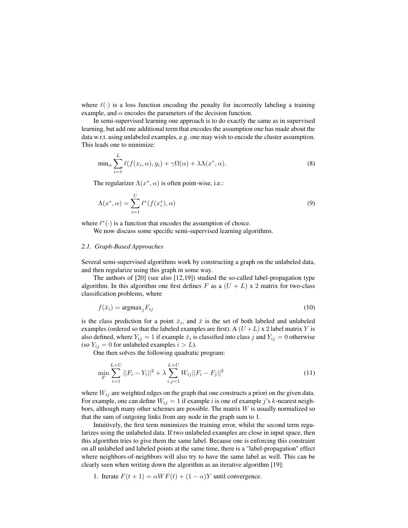where  $\ell(\cdot)$  is a loss function encoding the penalty for incorrectly labeling a training example, and  $\alpha$  encodes the parameters of the decision function.

In semi-supervised learning one approach is to do exactly the same as in supervised learning, but add one additional term that encodes the assumption one has made about the data w.r.t. using unlabeled examples, e.g. one may wish to encode the cluster assumption. This leads one to minimize:

$$
\min_{\alpha} \sum_{i=1}^{L} \ell(f(x_i, \alpha), y_i) + \gamma \Omega(\alpha) + \lambda \Lambda(x^*, \alpha). \tag{8}
$$

The regularizer  $\Lambda(x^*, \alpha)$  is often point-wise, i.e.:

$$
\Lambda(x^*, \alpha) = \sum_{i=1}^U \ell^*(f(x_i^*), \alpha) \tag{9}
$$

where  $\ell^*(\cdot)$  is a function that encodes the assumption of choice.

We now discuss some specific semi-supervised learning algorithms.

## *2.1. Graph-Based Approaches*

Several semi-supervised algorithms work by constructing a graph on the unlabeled data, and then regularize using this graph in some way.

The authors of [20] (see also [12,19]) studied the so-called label-propagation type algorithm. In this algorithm one first defines F as a  $(U + L)$  x 2 matrix for two-class classification problems, where

$$
f(\bar{x}_i) = \operatorname{argmax}_j F_{ij} \tag{10}
$$

is the class prediction for a point  $\bar{x}_i$ , and  $\bar{x}$  is the set of both labeled and unlabeled examples (ordered so that the labeled examples are first). A  $(U+L)$  x 2 label matrix Y is also defined, where  $Y_{ij} = 1$  if example  $\bar{x}_i$  is classified into class j and  $Y_{ij} = 0$  otherwise (so  $Y_{ij} = 0$  for unlabeled examples  $i > L$ ).

One then solves the following quadratic program:

$$
\min_{F} \sum_{i=1}^{L+U} ||F_i - Y_i||^2 + \lambda \sum_{i,j=1}^{L+U} W_{ij} ||F_i - F_j||^2
$$
\n(11)

where  $W_{ij}$  are weighted edges on the graph that one constructs a priori on the given data. For example, one can define  $W_{ij} = 1$  if example i is one of example j's k-nearest neighbors, although many other schemes are possible. The matrix  $W$  is usually normalized so that the sum of outgoing links from any node in the graph sum to 1.

Intuitively, the first term minimizes the training error, whilst the second term regularizes using the unlabeled data. If two unlabeled examples are close in input space, then this algorithm tries to give them the same label. Because one is enforcing this constraint on all unlabeled and labeled points at the same time, there is a "label-propagation" effect where neighbors-of-neighbors will also try to have the same label as well. This can be clearly seen when writing down the algorithm as an iterative algorithm [19]:

1. Iterate  $F(t + 1) = \alpha WF(t) + (1 - \alpha)Y$  until convergence.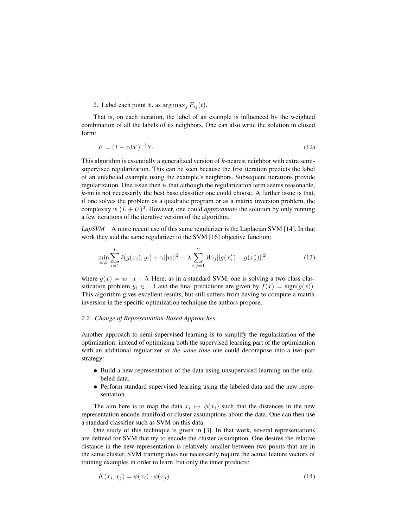## 2. Label each point  $\bar{x}_i$  as  $\arg \max_j F_{ij}(t)$ .

That is, on each iteration, the label of an example is influenced by the weighted combination of all the labels of its neighbors. One can also write the solution in closed form:

$$
F = (I - \alpha W)^{-1} Y.
$$
\n
$$
(12)
$$

This algorithm is essentially a generalized version of  $k$ -nearest neighbor with extra semisupervised regularization. This can be seen because the first iteration predicts the label of an unlabeled example using the example's neighbors. Subsequent iterations provide regularization. One issue then is that although the regularization term seems reasonable,  $k$ -nn is not necessarily the best base classifier one could choose. A further issue is that, if one solves the problem as a quadratic program or as a matrix inversion problem, the complexity is  $(L + U)^3$ . However, one could *approximate* the solution by only running a few iterations of the iterative version of the algorithm.

*LapSVM* A more recent use of this same regularizer is the Laplacian SVM [14]. In that work they add the same regularizer to the SVM [16] objective function:

$$
\min_{w,b} \sum_{i=1}^{L} \ell(g(x_i), y_i) + \gamma ||w||^2 + \lambda \sum_{i,j=1}^{U} W_{ij} ||g(x_i^*) - g(x_j^*)||^2
$$
\n(13)

where  $g(x) = w \cdot x + b$ . Here, as in a standard SVM, one is solving a two-class classification problem  $y_i \in \pm 1$  and the final predictions are given by  $f(x) = \text{sign}(g(x))$ . This algorithm gives excellent results, but still suffers from having to compute a matrix inversion in the specific optimization technique the authors propose.

#### *2.2. Change of Representation-Based Approaches*

Another approach to semi-supervised learning is to simplify the regularization of the optimization: instead of optimizing both the supervised learning part of the optimization with an additional regularizer *at the same time* one could decompose into a two-part strategy:

- Build a new representation of the data using unsupervised learning on the unlabeled data.
- Perform standard supervised learning using the labeled data and the new representation.

The aim here is to map the data  $x_i \mapsto \phi(x_i)$  such that the distances in the new representation encode manifold or cluster assumptions about the data. One can then use a standard classifier such as SVM on this data.

One study of this technique is given in [3]. In that work, several representations are defined for SVM that try to encode the cluster assumption. One desires the relative distance in the new representation is relatively smaller between two points that are in the same cluster. SVM training does not necessarily require the actual feature vectors of training examples in order to learn, but only the inner products:

$$
K(x_i, x_j) = \phi(x_i) \cdot \phi(x_j). \tag{14}
$$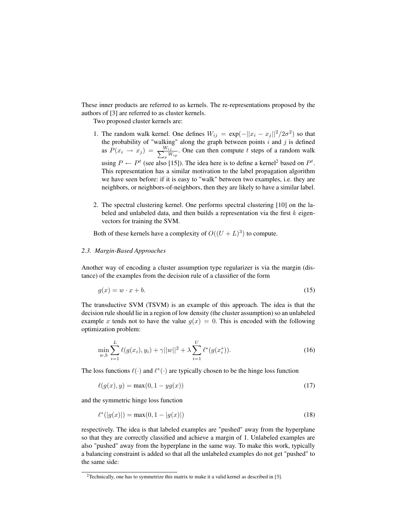These inner products are referred to as kernels. The re-representations proposed by the authors of [3] are referred to as cluster kernels.

Two proposed cluster kernels are:

- 1. The random walk kernel. One defines  $W_{ij} = \exp(-||x_i x_j||^2 / 2\sigma^2)$  so that the probability of "walking" along the graph between points  $i$  and  $j$  is defined as  $P(x_i \rightarrow x_j) = \frac{W_{ij}}{\sum_{n} W_{ij}}$  $\frac{w_{ij}}{w_{ip}}$ . One can then compute t steps of a random walk using  $P \leftarrow P^t$  (see also [15]). The idea here is to define a kernel<sup>2</sup> based on  $P^t$ . This representation has a similar motivation to the label propagation algorithm we have seen before: if it is easy to "walk" between two examples, i.e. they are neighbors, or neighbors-of-neighbors, then they are likely to have a similar label.
- 2. The spectral clustering kernel. One performs spectral clustering [10] on the labeled and unlabeled data, and then builds a representation via the first  $k$  eigenvectors for training the SVM.

Both of these kernels have a complexity of  $O((U + L)^3)$  to compute.

## *2.3. Margin-Based Approaches*

Another way of encoding a cluster assumption type regularizer is via the margin (distance) of the examples from the decision rule of a classifier of the form

$$
g(x) = w \cdot x + b. \tag{15}
$$

The transductive SVM (TSVM) is an example of this approach. The idea is that the decision rule should lie in a region of low density (the cluster assumption) so an unlabeled example x tends not to have the value  $g(x) = 0$ . This is encoded with the following optimization problem:

$$
\min_{w,b} \sum_{i=1}^{L} \ell(g(x_i), y_i) + \gamma ||w||^2 + \lambda \sum_{i=1}^{U} \ell^*(g(x_i^*)).
$$
\n(16)

The loss functions  $\ell(\cdot)$  and  $\ell^*(\cdot)$  are typically chosen to be the hinge loss function

$$
\ell(g(x), y) = \max(0, 1 - yg(x))\tag{17}
$$

and the symmetric hinge loss function

$$
\ell^*(|g(x)|) = \max(0, 1 - |g(x)|) \tag{18}
$$

respectively. The idea is that labeled examples are "pushed" away from the hyperplane so that they are correctly classified and achieve a margin of 1. Unlabeled examples are also "pushed" away from the hyperplane in the same way. To make this work, typically a balancing constraint is added so that all the unlabeled examples do not get "pushed" to the same side:

<sup>&</sup>lt;sup>2</sup>Technically, one has to symmetrize this matrix to make it a valid kernel as described in [3].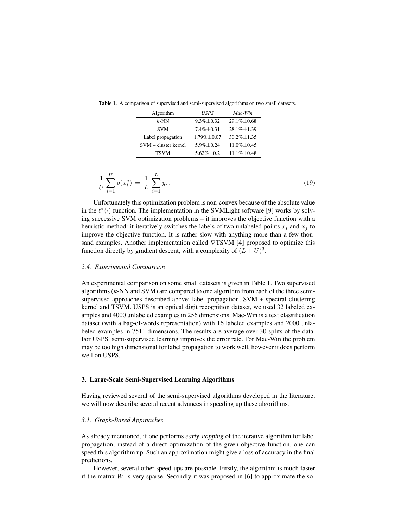| Algorithm              | USPS             | Mac-Win           |
|------------------------|------------------|-------------------|
| $k$ -NN                | $9.3\% + 0.32$   | $29.1\% \pm 0.68$ |
| <b>SVM</b>             | $7.4\% + 0.31$   | $28.1\% \pm 1.39$ |
| Label propagation      | $1.79\% + 0.07$  | $30.2\% + 1.35$   |
| $SVM + cluster kernel$ | $5.9\% \pm 0.24$ | $11.0\% \pm 0.45$ |
| <b>TSVM</b>            | $5.62\% \pm 0.2$ | $11.1\% \pm 0.48$ |

Table 1. A comparison of supervised and semi-supervised algorithms on two small datasets.

$$
\frac{1}{U} \sum_{i=1}^{U} g(x_i^*) = \frac{1}{L} \sum_{i=1}^{L} y_i.
$$
\n(19)

Unfortunately this optimization problem is non-convex because of the absolute value in the  $\ell^*(\cdot)$  function. The implementation in the SVMLight software [9] works by solving successive SVM optimization problems – it improves the objective function with a heuristic method: it iteratively switches the labels of two unlabeled points  $x_i$  and  $x_j$  to improve the objective function. It is rather slow with anything more than a few thousand examples. Another implementation called  $\nabla$ TSVM [4] proposed to optimize this function directly by gradient descent, with a complexity of  $(L+U)^3$ .

#### *2.4. Experimental Comparison*

An experimental comparison on some small datasets is given in Table 1. Two supervised algorithms  $(k-NN)$  and SVM) are compared to one algorithm from each of the three semisupervised approaches described above: label propagation, SVM + spectral clustering kernel and TSVM. USPS is an optical digit recognition dataset, we used 32 labeled examples and 4000 unlabeled examples in 256 dimensions. Mac-Win is a text classification dataset (with a bag-of-words representation) with 16 labeled examples and 2000 unlabeled examples in 7511 dimensions. The results are average over 30 splits of the data. For USPS, semi-supervised learning improves the error rate. For Mac-Win the problem may be too high dimensional for label propagation to work well, however it does perform well on USPS.

#### 3. Large-Scale Semi-Supervised Learning Algorithms

Having reviewed several of the semi-supervised algorithms developed in the literature, we will now describe several recent advances in speeding up these algorithms.

#### *3.1. Graph-Based Approaches*

As already mentioned, if one performs *early stopping* of the iterative algorithm for label propagation, instead of a direct optimization of the given objective function, one can speed this algorithm up. Such an approximation might give a loss of accuracy in the final predictions.

However, several other speed-ups are possible. Firstly, the algorithm is much faster if the matrix  $W$  is very sparse. Secondly it was proposed in [6] to approximate the so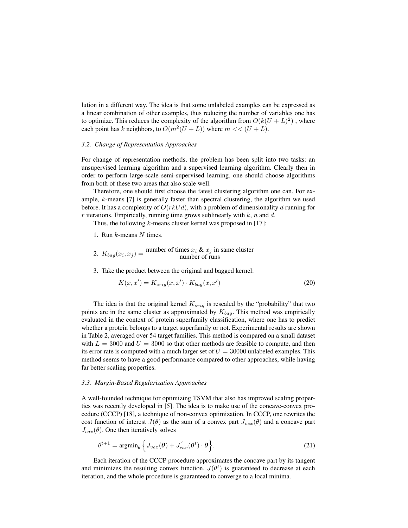lution in a different way. The idea is that some unlabeled examples can be expressed as a linear combination of other examples, thus reducing the number of variables one has to optimize. This reduces the complexity of the algorithm from  $O(k(U+L)^2)$ , where each point has k neighbors, to  $O(m^2(U+L))$  where  $m \ll (U+L)$ .

#### *3.2. Change of Representation Approaches*

For change of representation methods, the problem has been split into two tasks: an unsupervised learning algorithm and a supervised learning algorithm. Clearly then in order to perform large-scale semi-supervised learning, one should choose algorithms from both of these two areas that also scale well.

Therefore, one should first choose the fatest clustering algorithm one can. For example,  $k$ -means [7] is generally faster than spectral clustering, the algorithm we used before. It has a complexity of  $O(rkUd)$ , with a problem of dimensionality d running for r iterations. Empirically, running time grows sublinearly with  $k$ , n and  $d$ .

Thus, the following  $k$ -means cluster kernel was proposed in [17]:

1. Run k-means N times.

2. 
$$
K_{bag}(x_i, x_j) = \frac{\text{number of times } x_i \& x_j \text{ in same cluster}}{\text{number of runs}}
$$

3. Take the product between the original and bagged kernel:

$$
K(x, x') = K_{orig}(x, x') \cdot K_{bag}(x, x')
$$
\n(20)

The idea is that the original kernel  $K_{orig}$  is rescaled by the "probability" that two points are in the same cluster as approximated by  $K_{bag}$ . This method was empirically evaluated in the context of protein superfamily classification, where one has to predict whether a protein belongs to a target superfamily or not. Experimental results are shown in Table 2, averaged over 54 target families. This method is compared on a small dataset with  $L = 3000$  and  $U = 3000$  so that other methods are feasible to compute, and then its error rate is computed with a much larger set of  $U = 30000$  unlabeled examples. This method seems to have a good performance compared to other approaches, while having far better scaling properties.

#### *3.3. Margin-Based Regularization Approaches*

A well-founded technique for optimizing TSVM that also has improved scaling properties was recently developed in [5]. The idea is to make use of the concave-convex procedure (CCCP) [18], a technique of non-convex optimization. In CCCP, one rewrites the cost function of interest  $J(\theta)$  as the sum of a convex part  $J_{vex}(\theta)$  and a concave part  $J_{cav}(\theta)$ . One then iteratively solves

$$
\theta^{t+1} = \operatorname{argmin}_{\theta} \left\{ J_{vex}(\theta) + J_{cav}'(\theta^t) \cdot \theta \right\}.
$$
\n(21)

Each iteration of the CCCP procedure approximates the concave part by its tangent and minimizes the resulting convex function.  $J(\theta^t)$  is guaranteed to decrease at each iteration, and the whole procedure is guaranteed to converge to a local minima.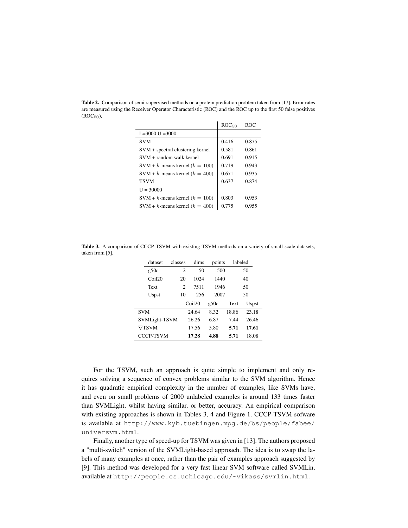| ROC <sub>50</sub> | <b>ROC</b> |
|-------------------|------------|
|                   |            |
| 0.416             | 0.875      |
| 0.581             | 0.861      |
| 0.691             | 0.915      |
| 0.719             | 0.943      |
| 0.671             | 0.935      |
| 0.637             | 0.874      |
|                   |            |
| 0.803             | 0.953      |
| 0.775             | 0.955      |
|                   |            |

Table 2. Comparison of semi-supervised methods on a protein prediction problem taken from [17]. Error rates are measured using the Receiver Operator Characteristic (ROC) and the ROC up to the first 50 false positives  $(ROC<sub>50</sub>)$ .

Table 3. A comparison of CCCP-TSVM with existing TSVM methods on a variety of small-scale datasets, taken from [5].

|            | dataset          | classes | dims               | points |       | labeled |
|------------|------------------|---------|--------------------|--------|-------|---------|
|            | g50c             | 2       | 50                 | 500    |       | 50      |
|            | Coil20           | 20      | 1024               | 1440   |       | 40      |
|            | <b>Text</b>      | 2       | 7511               | 1946   |       | 50      |
|            | Uspst            | 10      | 256                | 2007   |       | 50      |
|            |                  |         | Coil <sub>20</sub> | g50c   | Text  | Uspst   |
| <b>SVM</b> |                  |         | 24.64              | 8.32   | 18.86 | 23.18   |
|            | SVMLight-TSVM    |         | 26.26              | 6.87   | 7.44  | 26.46   |
|            | $\nabla$ TSVM    |         | 17.56              | 5.80   | 5.71  | 17.61   |
|            | <b>CCCP-TSVM</b> |         | 17.28              | 4.88   | 5.71  | 18.08   |

For the TSVM, such an approach is quite simple to implement and only requires solving a sequence of convex problems similar to the SVM algorithm. Hence it has quadratic empirical complexity in the number of examples, like SVMs have, and even on small problems of 2000 unlabeled examples is around 133 times faster than SVMLight, whilst having similar, or better, accuracy. An empirical comparison with existing approaches is shown in Tables 3, 4 and Figure 1. CCCP-TSVM sofware is available at http://www.kyb.tuebingen.mpg.de/bs/people/fabee/ universvm.html.

Finally, another type of speed-up for TSVM was given in [13]. The authors proposed a "multi-switch" version of the SVMLight-based approach. The idea is to swap the labels of many examples at once, rather than the pair of examples approach suggested by [9]. This method was developed for a very fast linear SVM software called SVMLin, available at http://people.cs.uchicago.edu/~vikass/svmlin.html.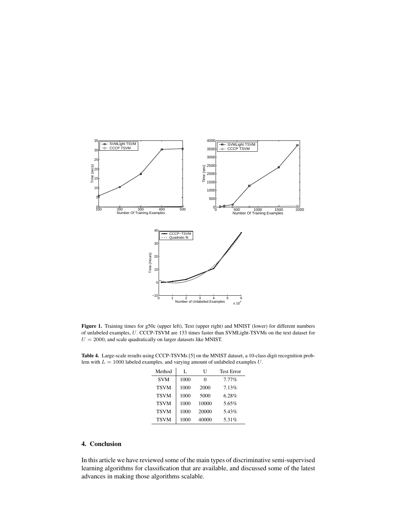

Figure 1. Training times for g50c (upper left), Text (upper right) and MNIST (lower) for different numbers of unlabeled examples, U. CCCP-TSVM are 133 times faster than SVMLight-TSVMs on the text dataset for  $U = 2000$ , and scale quadratically on larger datasets like MNIST.

Table 4. Large-scale results using CCCP-TSVMs [5] on the MNIST dataset, a 10-class digit recognition problem with  $L = 1000$  labeled examples, and varying amount of unlabeled examples U.

| Method      | L    | U     | <b>Test Error</b> |
|-------------|------|-------|-------------------|
| <b>SVM</b>  | 1000 | 0     | $7.77\%$          |
| <b>TSVM</b> | 1000 | 2000  | 7.13%             |
| <b>TSVM</b> | 1000 | 5000  | 6.28%             |
| <b>TSVM</b> | 1000 | 10000 | 5.65%             |
| <b>TSVM</b> | 1000 | 20000 | 5.43%             |
| <b>TSVM</b> | 1000 | 40000 | 5.31%             |

## 4. Conclusion

In this article we have reviewed some of the main types of discriminative semi-supervised learning algorithms for classification that are available, and discussed some of the latest advances in making those algorithms scalable.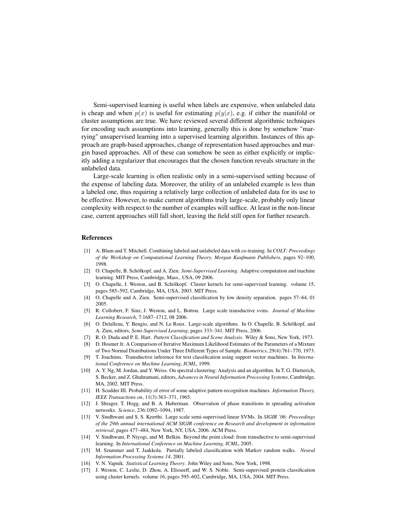Semi-supervised learning is useful when labels are expensive, when unlabeled data is cheap and when  $p(x)$  is useful for estimating  $p(y|x)$ , e.g. if either the manifold or cluster assumptions are true. We have reviewed several different algorithmic techniques for encoding such assumptions into learning, generally this is done by somehow "marrying" unsupervised learning into a supervised learning algorithm. Instances of this approach are graph-based approaches, change of representation based approaches and margin based approaches. All of these can somehow be seen as either explicitly or implicitly adding a regularizer that encourages that the chosen function reveals structure in the unlabeled data.

Large-scale learning is often realistic only in a semi-supervised setting because of the expense of labeling data. Moreover, the utility of an unlabeled example is less than a labeled one, thus requiring a relatively large collection of unlabeled data for its use to be effective. However, to make current algorithms truly large-scale, probably only linear complexity with respect to the number of examples will suffice. At least in the non-linear case, current approaches still fall short, leaving the field still open for further research.

#### References

- [1] A. Blum and T. Mitchell. Combining labeled and unlabeled data with co-training. In *COLT: Proceedings of the Workshop on Computational Learning Theory, Morgan Kaufmann Publishers*, pages 92–100, 1998.
- [2] O. Chapelle, B. Schölkopf, and A. Zien. *Semi-Supervised Learning*. Adaptive computation and machine learning. MIT Press, Cambridge, Mass., USA, 09 2006.
- [3] O. Chapelle, J. Weston, and B. Schölkopf. Cluster kernels for semi-supervised learning. volume 15, pages 585–592, Cambridge, MA, USA, 2003. MIT Press.
- [4] O. Chapelle and A. Zien. Semi-supervised classification by low density separation. pages 57–64, 01 2005.
- [5] R. Collobert, F. Sinz, J. Weston, and L. Bottou. Large scale transductive svms. *Journal of Machine Learning Research*, 7:1687–1712, 08 2006.
- [6] O. Delalleau, Y. Bengio, and N. Le Roux. Large-scale algorithms. In O. Chapelle, B. Schölkopf, and A. Zien, editors, *Semi-Supervised Learning*, pages 333–341. MIT Press, 2006.
- [7] R. O. Duda and P. E. Hart. *Pattern Classification and Scene Analysis*. Wiley & Sons, New York, 1973.
- [8] D. Hosmer Jr. A Comparison of Iterative Maximum Likelihood Estimates of the Parameters of a Mixture of Two Normal Distributions Under Three Different Types of Sample. *Biometrics*, 29(4):761–770, 1973.
- [9] T. Joachims. Transductive inference for text classification using support vector machines. In *International Conference on Machine Learning, ICML*, 1999.
- [10] A. Y. Ng, M. Jordan, and Y. Weiss. On spectral clustering: Analysis and an algorithm. In T. G. Dietterich, S. Becker, and Z. Ghahramani, editors, *Advances in Neural Information Processing Systems*, Cambridge, MA, 2002. MIT Press.
- [11] H. Scudder III. Probability of error of some adaptive pattern-recognition machines. *Information Theory, IEEE Transactions on*, 11(3):363–371, 1965.
- [12] J. Shrager, T. Hogg, and B. A. Huberman. Observation of phase transitions in spreading activation networks. *Science*, 236:1092–1094, 1987.
- [13] V. Sindhwani and S. S. Keerthi. Large scale semi-supervised linear SVMs. In *SIGIR '06: Proceedings of the 29th annual international ACM SIGIR conference on Research and development in information retrieval*, pages 477–484, New York, NY, USA, 2006. ACM Press.
- [14] V. Sindhwani, P. Niyogi, and M. Belkin. Beyond the point cloud: from transductive to semi-supervised learning. In *International Conference on Machine Learning, ICML*, 2005.
- [15] M. Szummer and T. Jaakkola. Partially labeled classification with Markov random walks. *Neural Information Processing Systems 14*, 2001.
- [16] V. N. Vapnik. *Statistical Learning Theory*. John Wiley and Sons, New York, 1998.
- [17] J. Weston, C. Leslie, D. Zhou, A. Elisseeff, and W. S. Noble. Semi-supervised protein classification using cluster kernels. volume 16, pages 595–602, Cambridge, MA, USA, 2004. MIT Press.